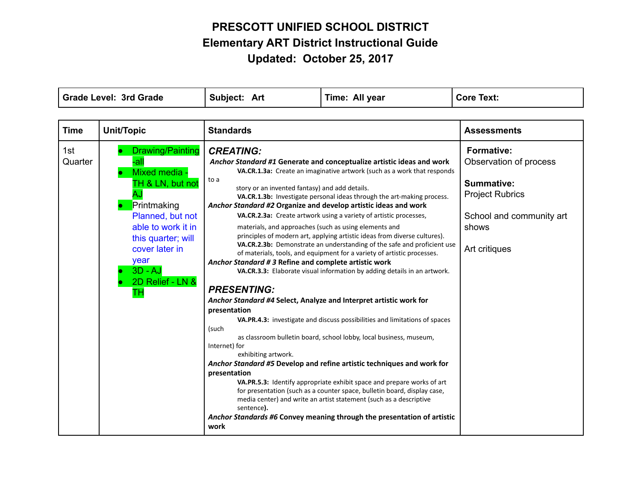| <b>Grade Level: 3rd Grade</b> |                                                                                                                                                                                                               | Subject: Art                                                                                                                                                                                                                                                                                                                                                                                                                                                      | Time: All year                                                                                                                                                                                                                                                                                                                                                                                                                                                                                                                                                                                                                                                                                                                                                                                                                                                                                                                                                                                                                                                                                                                                      | <b>Core Text:</b>                                                                                                                         |
|-------------------------------|---------------------------------------------------------------------------------------------------------------------------------------------------------------------------------------------------------------|-------------------------------------------------------------------------------------------------------------------------------------------------------------------------------------------------------------------------------------------------------------------------------------------------------------------------------------------------------------------------------------------------------------------------------------------------------------------|-----------------------------------------------------------------------------------------------------------------------------------------------------------------------------------------------------------------------------------------------------------------------------------------------------------------------------------------------------------------------------------------------------------------------------------------------------------------------------------------------------------------------------------------------------------------------------------------------------------------------------------------------------------------------------------------------------------------------------------------------------------------------------------------------------------------------------------------------------------------------------------------------------------------------------------------------------------------------------------------------------------------------------------------------------------------------------------------------------------------------------------------------------|-------------------------------------------------------------------------------------------------------------------------------------------|
|                               |                                                                                                                                                                                                               |                                                                                                                                                                                                                                                                                                                                                                                                                                                                   |                                                                                                                                                                                                                                                                                                                                                                                                                                                                                                                                                                                                                                                                                                                                                                                                                                                                                                                                                                                                                                                                                                                                                     |                                                                                                                                           |
| <b>Time</b>                   | <b>Unit/Topic</b>                                                                                                                                                                                             | <b>Standards</b>                                                                                                                                                                                                                                                                                                                                                                                                                                                  |                                                                                                                                                                                                                                                                                                                                                                                                                                                                                                                                                                                                                                                                                                                                                                                                                                                                                                                                                                                                                                                                                                                                                     | <b>Assessments</b>                                                                                                                        |
| 1st<br>Quarter                | Drawing/Painting<br>-all<br>Mixed media -<br>TH & LN, but not<br>Printmaking<br>Planned, but not<br>able to work it in<br>this quarter; will<br>cover later in<br>year<br>$3D - AJ$<br>2D Relief - LN &<br>тн | <b>CREATING:</b><br>to a<br>story or an invented fantasy) and add details.<br>Anchor Standard #2 Organize and develop artistic ideas and work<br>materials, and approaches (such as using elements and<br>Anchor Standard #3 Refine and complete artistic work<br><b>PRESENTING:</b><br>Anchor Standard #4 Select, Analyze and Interpret artistic work for<br>presentation<br>(such<br>Internet) for<br>exhibiting artwork.<br>presentation<br>sentence).<br>work | Anchor Standard #1 Generate and conceptualize artistic ideas and work<br>VA.CR.1.3a: Create an imaginative artwork (such as a work that responds<br>VA.CR.1.3b: Investigate personal ideas through the art-making process.<br>VA.CR.2.3a: Create artwork using a variety of artistic processes,<br>principles of modern art, applying artistic ideas from diverse cultures).<br>VA.CR.2.3b: Demonstrate an understanding of the safe and proficient use<br>of materials, tools, and equipment for a variety of artistic processes.<br>VA.CR.3.3: Elaborate visual information by adding details in an artwork.<br>VA.PR.4.3: investigate and discuss possibilities and limitations of spaces<br>as classroom bulletin board, school lobby, local business, museum,<br>Anchor Standard #5 Develop and refine artistic techniques and work for<br>VA.PR.5.3: Identify appropriate exhibit space and prepare works of art<br>for presentation (such as a counter space, bulletin board, display case,<br>media center) and write an artist statement (such as a descriptive<br>Anchor Standards #6 Convey meaning through the presentation of artistic | <b>Formative:</b><br>Observation of process<br>Summative:<br><b>Project Rubrics</b><br>School and community art<br>shows<br>Art critiques |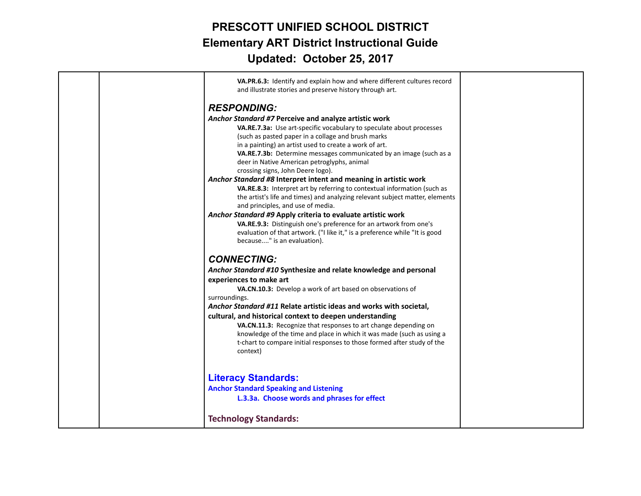| VA.PR.6.3: Identify and explain how and where different cultures record<br>and illustrate stories and preserve history through art.              |
|--------------------------------------------------------------------------------------------------------------------------------------------------|
|                                                                                                                                                  |
|                                                                                                                                                  |
| Anchor Standard #7 Perceive and analyze artistic work                                                                                            |
| VA.RE.7.3a: Use art-specific vocabulary to speculate about processes                                                                             |
| (such as pasted paper in a collage and brush marks                                                                                               |
| in a painting) an artist used to create a work of art.                                                                                           |
| VA.RE.7.3b: Determine messages communicated by an image (such as a<br>deer in Native American petroglyphs, animal                                |
|                                                                                                                                                  |
| Anchor Standard #8 Interpret intent and meaning in artistic work                                                                                 |
| VA.RE.8.3: Interpret art by referring to contextual information (such as                                                                         |
| the artist's life and times) and analyzing relevant subject matter, elements                                                                     |
|                                                                                                                                                  |
| Anchor Standard #9 Apply criteria to evaluate artistic work                                                                                      |
| VA.RE.9.3: Distinguish one's preference for an artwork from one's                                                                                |
| evaluation of that artwork. ("I like it," is a preference while "It is good                                                                      |
|                                                                                                                                                  |
|                                                                                                                                                  |
| Anchor Standard #10 Synthesize and relate knowledge and personal                                                                                 |
|                                                                                                                                                  |
| VA.CN.10.3: Develop a work of art based on observations of                                                                                       |
|                                                                                                                                                  |
| Anchor Standard #11 Relate artistic ideas and works with societal,                                                                               |
| cultural, and historical context to deepen understanding                                                                                         |
| VA.CN.11.3: Recognize that responses to art change depending on                                                                                  |
| knowledge of the time and place in which it was made (such as using a<br>t-chart to compare initial responses to those formed after study of the |
|                                                                                                                                                  |
|                                                                                                                                                  |
|                                                                                                                                                  |
|                                                                                                                                                  |
| L.3.3a. Choose words and phrases for effect                                                                                                      |
|                                                                                                                                                  |
|                                                                                                                                                  |
|                                                                                                                                                  |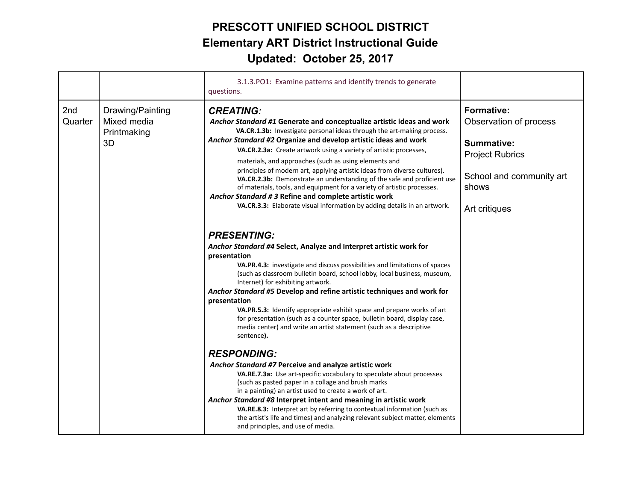|                |                                                      | 3.1.3. PO1: Examine patterns and identify trends to generate<br>questions.                                                                                                                                                                                                                                                                                                                                                                                                                                                                                                                                                                                                                                                                   |                                                                                                                                           |
|----------------|------------------------------------------------------|----------------------------------------------------------------------------------------------------------------------------------------------------------------------------------------------------------------------------------------------------------------------------------------------------------------------------------------------------------------------------------------------------------------------------------------------------------------------------------------------------------------------------------------------------------------------------------------------------------------------------------------------------------------------------------------------------------------------------------------------|-------------------------------------------------------------------------------------------------------------------------------------------|
| 2nd<br>Quarter | Drawing/Painting<br>Mixed media<br>Printmaking<br>3D | <b>CREATING:</b><br>Anchor Standard #1 Generate and conceptualize artistic ideas and work<br>VA.CR.1.3b: Investigate personal ideas through the art-making process.<br>Anchor Standard #2 Organize and develop artistic ideas and work<br>VA.CR.2.3a: Create artwork using a variety of artistic processes,<br>materials, and approaches (such as using elements and<br>principles of modern art, applying artistic ideas from diverse cultures).<br>VA.CR.2.3b: Demonstrate an understanding of the safe and proficient use<br>of materials, tools, and equipment for a variety of artistic processes.<br>Anchor Standard # 3 Refine and complete artistic work<br>VA.CR.3.3: Elaborate visual information by adding details in an artwork. | <b>Formative:</b><br>Observation of process<br>Summative:<br><b>Project Rubrics</b><br>School and community art<br>shows<br>Art critiques |
|                |                                                      | <b>PRESENTING:</b><br>Anchor Standard #4 Select, Analyze and Interpret artistic work for<br>presentation<br>VA.PR.4.3: investigate and discuss possibilities and limitations of spaces<br>(such as classroom bulletin board, school lobby, local business, museum,<br>Internet) for exhibiting artwork.<br>Anchor Standard #5 Develop and refine artistic techniques and work for<br>presentation<br>VA.PR.5.3: Identify appropriate exhibit space and prepare works of art<br>for presentation (such as a counter space, bulletin board, display case,<br>media center) and write an artist statement (such as a descriptive<br>sentence).<br><b>RESPONDING:</b>                                                                            |                                                                                                                                           |
|                |                                                      | Anchor Standard #7 Perceive and analyze artistic work<br>VA.RE.7.3a: Use art-specific vocabulary to speculate about processes<br>(such as pasted paper in a collage and brush marks<br>in a painting) an artist used to create a work of art.<br>Anchor Standard #8 Interpret intent and meaning in artistic work<br>VA.RE.8.3: Interpret art by referring to contextual information (such as<br>the artist's life and times) and analyzing relevant subject matter, elements<br>and principles, and use of media.                                                                                                                                                                                                                           |                                                                                                                                           |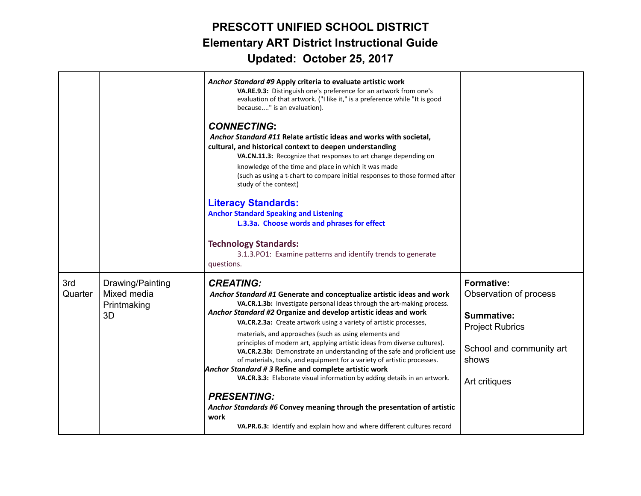|                |                                                      | Anchor Standard #9 Apply criteria to evaluate artistic work<br>VA.RE.9.3: Distinguish one's preference for an artwork from one's<br>evaluation of that artwork. ("I like it," is a preference while "It is good<br>because" is an evaluation).<br><b>CONNECTING:</b><br>Anchor Standard #11 Relate artistic ideas and works with societal,<br>cultural, and historical context to deepen understanding<br>VA.CN.11.3: Recognize that responses to art change depending on<br>knowledge of the time and place in which it was made<br>(such as using a t-chart to compare initial responses to those formed after<br>study of the context)<br><b>Literacy Standards:</b><br><b>Anchor Standard Speaking and Listening</b><br>L.3.3a. Choose words and phrases for effect<br><b>Technology Standards:</b><br>3.1.3. PO1: Examine patterns and identify trends to generate<br>questions.                                           |                                                                                                                                           |
|----------------|------------------------------------------------------|---------------------------------------------------------------------------------------------------------------------------------------------------------------------------------------------------------------------------------------------------------------------------------------------------------------------------------------------------------------------------------------------------------------------------------------------------------------------------------------------------------------------------------------------------------------------------------------------------------------------------------------------------------------------------------------------------------------------------------------------------------------------------------------------------------------------------------------------------------------------------------------------------------------------------------|-------------------------------------------------------------------------------------------------------------------------------------------|
| 3rd<br>Quarter | Drawing/Painting<br>Mixed media<br>Printmaking<br>3D | <b>CREATING:</b><br>Anchor Standard #1 Generate and conceptualize artistic ideas and work<br>VA.CR.1.3b: Investigate personal ideas through the art-making process.<br>Anchor Standard #2 Organize and develop artistic ideas and work<br>VA.CR.2.3a: Create artwork using a variety of artistic processes,<br>materials, and approaches (such as using elements and<br>principles of modern art, applying artistic ideas from diverse cultures).<br>VA.CR.2.3b: Demonstrate an understanding of the safe and proficient use<br>of materials, tools, and equipment for a variety of artistic processes.<br>Anchor Standard #3 Refine and complete artistic work<br>VA.CR.3.3: Elaborate visual information by adding details in an artwork.<br><b>PRESENTING:</b><br>Anchor Standards #6 Convey meaning through the presentation of artistic<br>work<br>VA.PR.6.3: Identify and explain how and where different cultures record | Formative:<br>Observation of process<br><b>Summative:</b><br><b>Project Rubrics</b><br>School and community art<br>shows<br>Art critiques |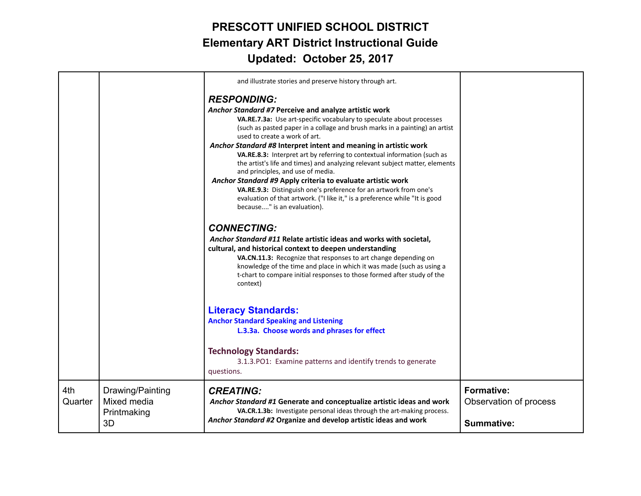|                |                                                      | and illustrate stories and preserve history through art.                                                                                                                                                                                                                                                                                                                                                                                                                                                                                                                                                                                                                                                                                                                                   |                                                                  |
|----------------|------------------------------------------------------|--------------------------------------------------------------------------------------------------------------------------------------------------------------------------------------------------------------------------------------------------------------------------------------------------------------------------------------------------------------------------------------------------------------------------------------------------------------------------------------------------------------------------------------------------------------------------------------------------------------------------------------------------------------------------------------------------------------------------------------------------------------------------------------------|------------------------------------------------------------------|
|                |                                                      | <b>RESPONDING:</b><br>Anchor Standard #7 Perceive and analyze artistic work<br>VA.RE.7.3a: Use art-specific vocabulary to speculate about processes<br>(such as pasted paper in a collage and brush marks in a painting) an artist<br>used to create a work of art.<br>Anchor Standard #8 Interpret intent and meaning in artistic work<br>VA.RE.8.3: Interpret art by referring to contextual information (such as<br>the artist's life and times) and analyzing relevant subject matter, elements<br>and principles, and use of media.<br>Anchor Standard #9 Apply criteria to evaluate artistic work<br>VA.RE.9.3: Distinguish one's preference for an artwork from one's<br>evaluation of that artwork. ("I like it," is a preference while "It is good<br>because" is an evaluation). |                                                                  |
|                |                                                      | <b>CONNECTING:</b><br>Anchor Standard #11 Relate artistic ideas and works with societal,<br>cultural, and historical context to deepen understanding<br>VA.CN.11.3: Recognize that responses to art change depending on<br>knowledge of the time and place in which it was made (such as using a<br>t-chart to compare initial responses to those formed after study of the<br>context)                                                                                                                                                                                                                                                                                                                                                                                                    |                                                                  |
|                |                                                      | <b>Literacy Standards:</b><br><b>Anchor Standard Speaking and Listening</b><br>L.3.3a. Choose words and phrases for effect<br><b>Technology Standards:</b><br>3.1.3. PO1: Examine patterns and identify trends to generate<br>questions.                                                                                                                                                                                                                                                                                                                                                                                                                                                                                                                                                   |                                                                  |
| 4th<br>Quarter | Drawing/Painting<br>Mixed media<br>Printmaking<br>3D | <b>CREATING:</b><br>Anchor Standard #1 Generate and conceptualize artistic ideas and work<br>VA.CR.1.3b: Investigate personal ideas through the art-making process.<br>Anchor Standard #2 Organize and develop artistic ideas and work                                                                                                                                                                                                                                                                                                                                                                                                                                                                                                                                                     | <b>Formative:</b><br>Observation of process<br><b>Summative:</b> |